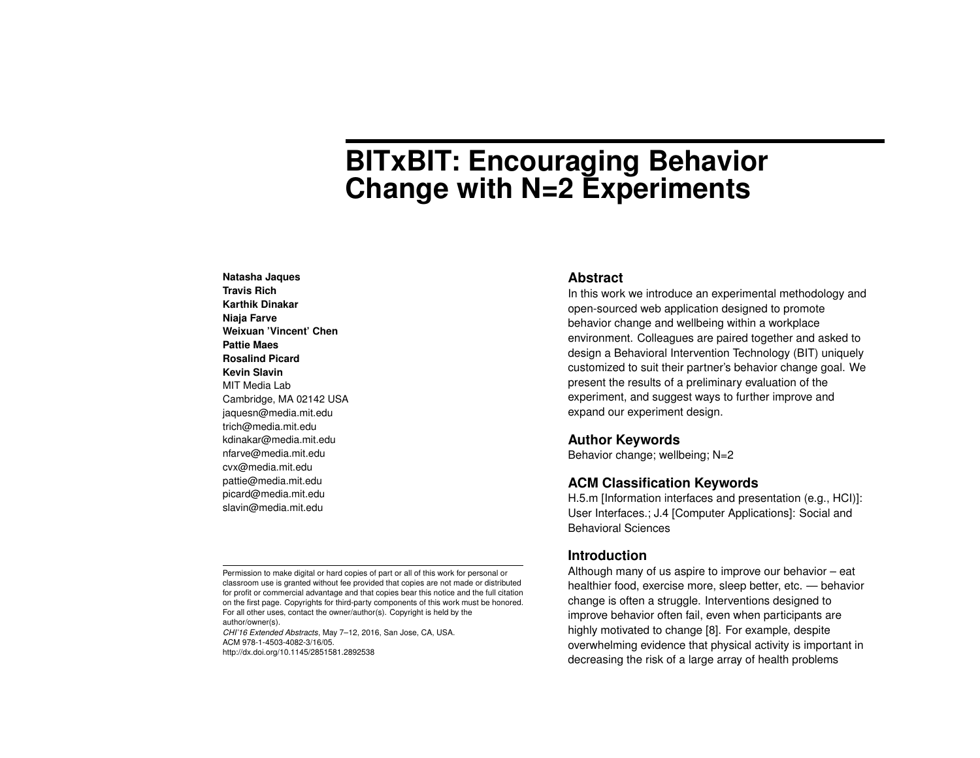# **BITxBIT: Encouraging Behavior Change with N=2 Experiments**

**Natasha Jaques Travis Rich Karthik Dinakar Niaja Farve Weixuan 'Vincent' Chen Pattie Maes Rosalind Picard Kevin Slavin** MIT Media Lab Cambridge, MA 02142 USA jaquesn@media.mit.edu trich@media.mit.edu kdinakar@media.mit.edu nfarve@media.mit.edu cvx@media.mit.edu pattie@media.mit.edu picard@media.mit.edu slavin@media.mit.edu

*CHI'16 Extended Abstracts*, May 7–12, 2016, San Jose, CA, USA. ACM 978-1-4503-4082-3/16/05. http://dx.doi.org/10.1145/2851581.2892538

#### **Abstract**

In this work we introduce an experimental methodology and open-sourced web application designed to promote behavior change and wellbeing within a workplace environment. Colleagues are paired together and asked to design a Behavioral Intervention Technology (BIT) uniquely customized to suit their partner's behavior change goal. We present the results of a preliminary evaluation of the experiment, and suggest ways to further improve and expand our experiment design.

#### **Author Keywords**

Behavior change; wellbeing; N=2

# **ACM Classification Keywords**

H.5.m [Information interfaces and presentation (e.g., HCI)]: User Interfaces.; J.4 [Computer Applications]: Social and Behavioral Sciences

# **Introduction**

Although many of us aspire to improve our behavior – eat healthier food, exercise more, sleep better, etc. — behavior change is often a struggle. Interventions designed to improve behavior often fail, even when participants are highly motivated to change [\[8\]](#page-6-0). For example, despite overwhelming evidence that physical activity is important in decreasing the risk of a large array of health problems

Permission to make digital or hard copies of part or all of this work for personal or classroom use is granted without fee provided that copies are not made or distributed for profit or commercial advantage and that copies bear this notice and the full citation on the first page. Copyrights for third-party components of this work must be honored. For all other uses, contact the owner/author(s). Copyright is held by the author/owner(s).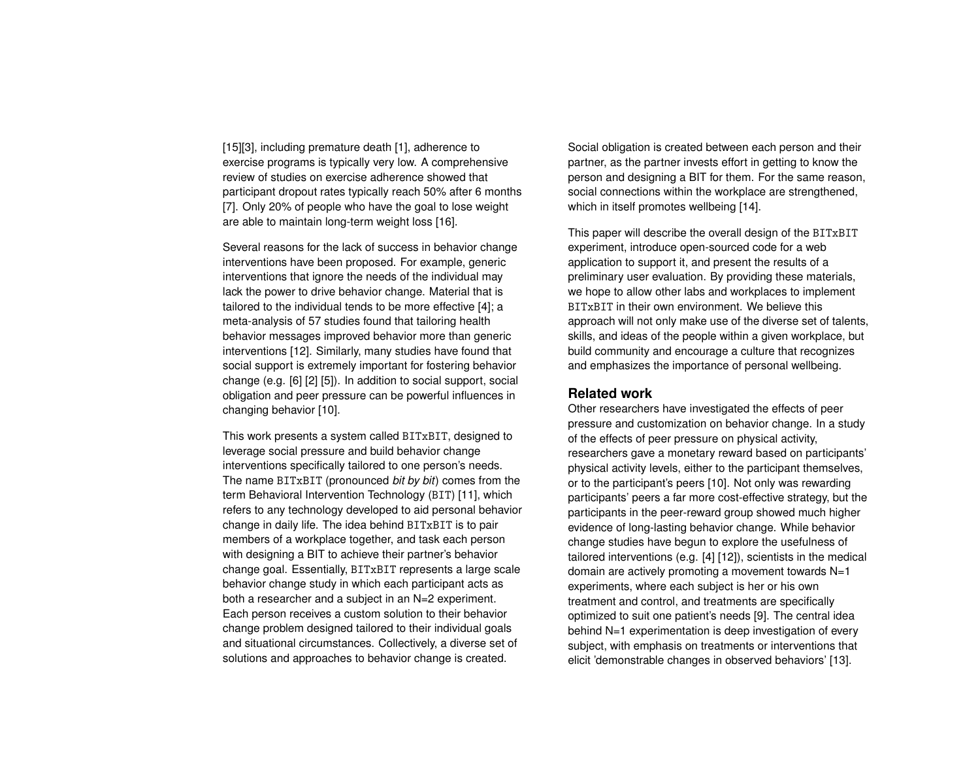[\[15\]](#page-6-1)[\[3\]](#page-6-2), including premature death [\[1\]](#page-6-3), adherence to exercise programs is typically very low. A comprehensive review of studies on exercise adherence showed that participant dropout rates typically reach 50% after 6 months [\[7\]](#page-6-4). Only 20% of people who have the goal to lose weight are able to maintain long-term weight loss [\[16\]](#page-6-5).

Several reasons for the lack of success in behavior change interventions have been proposed. For example, generic interventions that ignore the needs of the individual may lack the power to drive behavior change. Material that is tailored to the individual tends to be more effective [\[4\]](#page-6-6); a meta-analysis of 57 studies found that tailoring health behavior messages improved behavior more than generic interventions [\[12\]](#page-6-7). Similarly, many studies have found that social support is extremely important for fostering behavior change (e.g. [\[6\]](#page-6-8) [\[2\]](#page-6-9) [\[5\]](#page-6-10)). In addition to social support, social obligation and peer pressure can be powerful influences in changing behavior [\[10\]](#page-6-11).

This work presents a system called BITxBIT, designed to leverage social pressure and build behavior change interventions specifically tailored to one person's needs. The name BITxBIT (pronounced *bit by bit*) comes from the term Behavioral Intervention Technology (BIT) [\[11\]](#page-6-12), which refers to any technology developed to aid personal behavior change in daily life. The idea behind BITxBIT is to pair members of a workplace together, and task each person with designing a BIT to achieve their partner's behavior change goal. Essentially, BITxBIT represents a large scale behavior change study in which each participant acts as both a researcher and a subject in an N=2 experiment. Each person receives a custom solution to their behavior change problem designed tailored to their individual goals and situational circumstances. Collectively, a diverse set of solutions and approaches to behavior change is created.

Social obligation is created between each person and their partner, as the partner invests effort in getting to know the person and designing a BIT for them. For the same reason, social connections within the workplace are strengthened, which in itself promotes wellbeing [\[14\]](#page-6-13).

This paper will describe the overall design of the BITxBIT experiment, introduce open-sourced code for a web application to support it, and present the results of a preliminary user evaluation. By providing these materials, we hope to allow other labs and workplaces to implement BITxBIT in their own environment. We believe this approach will not only make use of the diverse set of talents, skills, and ideas of the people within a given workplace, but build community and encourage a culture that recognizes and emphasizes the importance of personal wellbeing.

# **Related work**

Other researchers have investigated the effects of peer pressure and customization on behavior change. In a study of the effects of peer pressure on physical activity, researchers gave a monetary reward based on participants' physical activity levels, either to the participant themselves, or to the participant's peers [\[10\]](#page-6-11). Not only was rewarding participants' peers a far more cost-effective strategy, but the participants in the peer-reward group showed much higher evidence of long-lasting behavior change. While behavior change studies have begun to explore the usefulness of tailored interventions (e.g. [\[4\]](#page-6-6) [\[12\]](#page-6-7)), scientists in the medical domain are actively promoting a movement towards  $N=1$ experiments, where each subject is her or his own treatment and control, and treatments are specifically optimized to suit one patient's needs [\[9\]](#page-6-14). The central idea behind N=1 experimentation is deep investigation of every subject, with emphasis on treatments or interventions that elicit 'demonstrable changes in observed behaviors' [\[13\]](#page-6-15).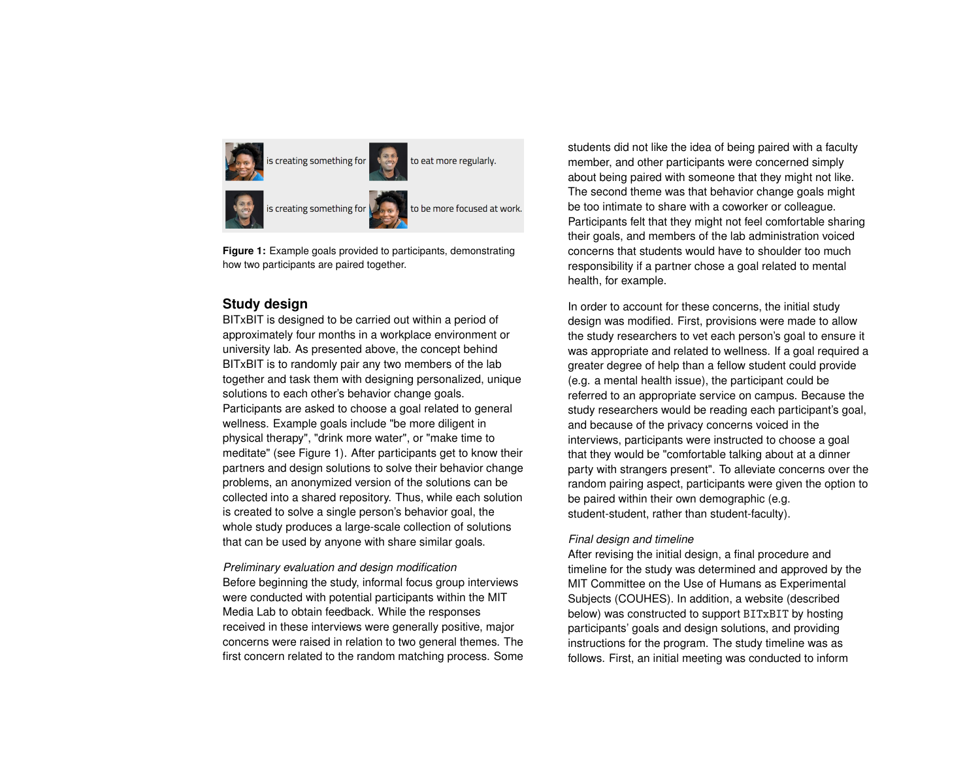<span id="page-2-0"></span>

**Figure 1:** Example goals provided to participants, demonstrating how two participants are paired together.

# **Study design**

BITxBIT is designed to be carried out within a period of approximately four months in a workplace environment or university lab. As presented above, the concept behind BITxBIT is to randomly pair any two members of the lab together and task them with designing personalized, unique solutions to each other's behavior change goals. Participants are asked to choose a goal related to general wellness. Example goals include "be more diligent in physical therapy", "drink more water", or "make time to meditate" (see Figure [1\)](#page-2-0). After participants get to know their partners and design solutions to solve their behavior change problems, an anonymized version of the solutions can be collected into a shared repository. Thus, while each solution is created to solve a single person's behavior goal, the whole study produces a large-scale collection of solutions that can be used by anyone with share similar goals.

*Preliminary evaluation and design modification* Before beginning the study, informal focus group interviews were conducted with potential participants within the MIT Media Lab to obtain feedback. While the responses received in these interviews were generally positive, major concerns were raised in relation to two general themes. The first concern related to the random matching process. Some

students did not like the idea of being paired with a faculty member, and other participants were concerned simply about being paired with someone that they might not like. The second theme was that behavior change goals might be too intimate to share with a coworker or colleague. Participants felt that they might not feel comfortable sharing their goals, and members of the lab administration voiced concerns that students would have to shoulder too much responsibility if a partner chose a goal related to mental health, for example.

In order to account for these concerns, the initial study design was modified. First, provisions were made to allow the study researchers to vet each person's goal to ensure it was appropriate and related to wellness. If a goal required a greater degree of help than a fellow student could provide (e.g. a mental health issue), the participant could be referred to an appropriate service on campus. Because the study researchers would be reading each participant's goal, and because of the privacy concerns voiced in the interviews, participants were instructed to choose a goal that they would be "comfortable talking about at a dinner party with strangers present". To alleviate concerns over the random pairing aspect, participants were given the option to be paired within their own demographic (e.g. student-student, rather than student-faculty).

### *Final design and timeline*

After revising the initial design, a final procedure and timeline for the study was determined and approved by the MIT Committee on the Use of Humans as Experimental Subjects (COUHES). In addition, a website (described below) was constructed to support BITxBIT by hosting participants' goals and design solutions, and providing instructions for the program. The study timeline was as follows. First, an initial meeting was conducted to inform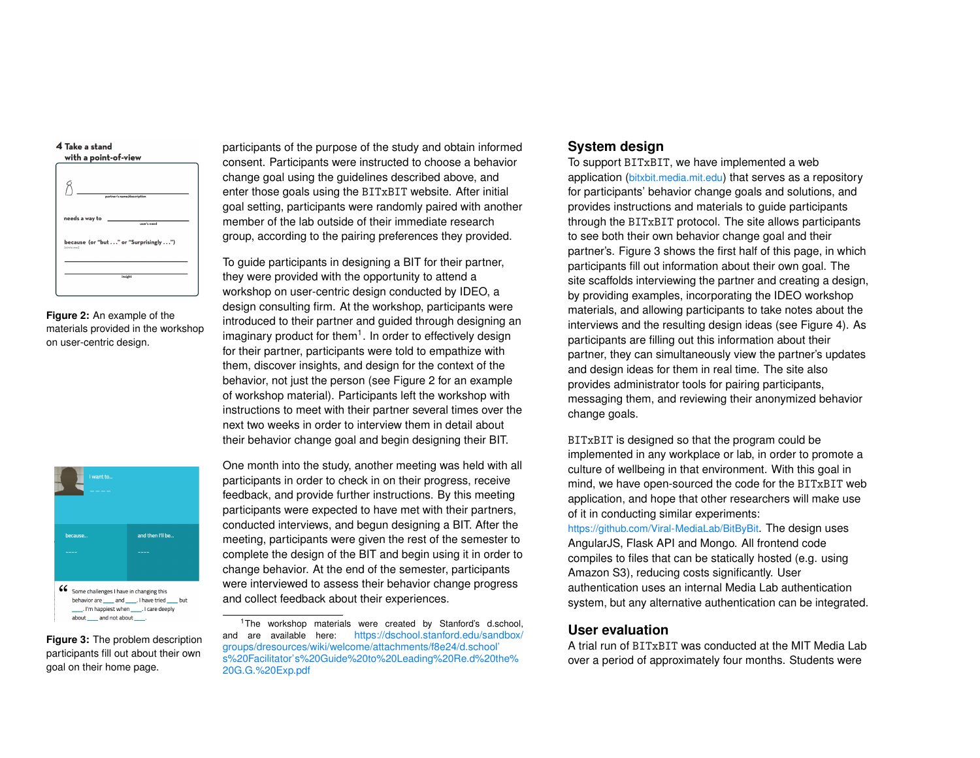#### 4 Take a stand with a point-of-view

|              | partner's name/description           |
|--------------|--------------------------------------|
|              | user's need                          |
|              |                                      |
|              | because (or "but" or "Surprisingly") |
| [circle one] |                                      |

<span id="page-3-1"></span>**Figure 2:** An example of the materials provided in the workshop on user-centric design.



<span id="page-3-2"></span>**Figure 3:** The problem description participants fill out about their own goal on their home page.

participants of the purpose of the study and obtain informed consent. Participants were instructed to choose a behavior change goal using the guidelines described above, and enter those goals using the BITxBIT website. After initial goal setting, participants were randomly paired with another member of the lab outside of their immediate research group, according to the pairing preferences they provided.

To guide participants in designing a BIT for their partner, they were provided with the opportunity to attend a workshop on user-centric design conducted by IDEO, a design consulting firm. At the workshop, participants were introduced to their partner and guided through designing an imaginary product for them<sup>[1](#page-3-0)</sup>. In order to effectively design for their partner, participants were told to empathize with them, discover insights, and design for the context of the behavior, not just the person (see Figure [2](#page-3-1) for an example of workshop material). Participants left the workshop with instructions to meet with their partner several times over the next two weeks in order to interview them in detail about their behavior change goal and begin designing their BIT.

One month into the study, another meeting was held with all participants in order to check in on their progress, receive feedback, and provide further instructions. By this meeting participants were expected to have met with their partners, conducted interviews, and begun designing a BIT. After the meeting, participants were given the rest of the semester to complete the design of the BIT and begin using it in order to change behavior. At the end of the semester, participants were interviewed to assess their behavior change progress and collect feedback about their experiences.

# **System design**

To support BITxBIT, we have implemented a web application (<bitxbit.media.mit.edu>) that serves as a repository for participants' behavior change goals and solutions, and provides instructions and materials to guide participants through the BITxBIT protocol. The site allows participants to see both their own behavior change goal and their partner's. Figure [3](#page-3-2) shows the first half of this page, in which participants fill out information about their own goal. The site scaffolds interviewing the partner and creating a design, by providing examples, incorporating the IDEO workshop materials, and allowing participants to take notes about the interviews and the resulting design ideas (see Figure [4\)](#page-4-0). As participants are filling out this information about their partner, they can simultaneously view the partner's updates and design ideas for them in real time. The site also provides administrator tools for pairing participants, messaging them, and reviewing their anonymized behavior change goals.

BITxBIT is designed so that the program could be implemented in any workplace or lab, in order to promote a culture of wellbeing in that environment. With this goal in mind, we have open-sourced the code for the BITxBIT web application, and hope that other researchers will make use of it in conducting similar experiments:

<https://github.com/Viral-MediaLab/BitByBit>. The design uses AngularJS, Flask API and Mongo. All frontend code compiles to files that can be statically hosted (e.g. using Amazon S3), reducing costs significantly. User authentication uses an internal Media Lab authentication system, but any alternative authentication can be integrated.

# **User evaluation**

A trial run of BITxBIT was conducted at the MIT Media Lab over a period of approximately four months. Students were

<span id="page-3-0"></span><sup>&</sup>lt;sup>1</sup>The workshop materials were created by Stanford's d.school, and are available here: [https://dschool.stanford.edu/sandbox/](https://dschool.stanford.edu/sandbox/groups/dresources/wiki/welcome/attachments/f8e24/d.school) [groups/dresources/wiki/welcome/attachments/f8e24/d.school'](https://dschool.stanford.edu/sandbox/groups/dresources/wiki/welcome/attachments/f8e24/d.school) [s%20Facilitator's%20Guide%20to%20Leading%20Re.d%20the%](https://dschool.stanford.edu/sandbox/groups/dresources/wiki/welcome/attachments/f8e24/d.school) [20G.G.%20Exp.pdf](https://dschool.stanford.edu/sandbox/groups/dresources/wiki/welcome/attachments/f8e24/d.school)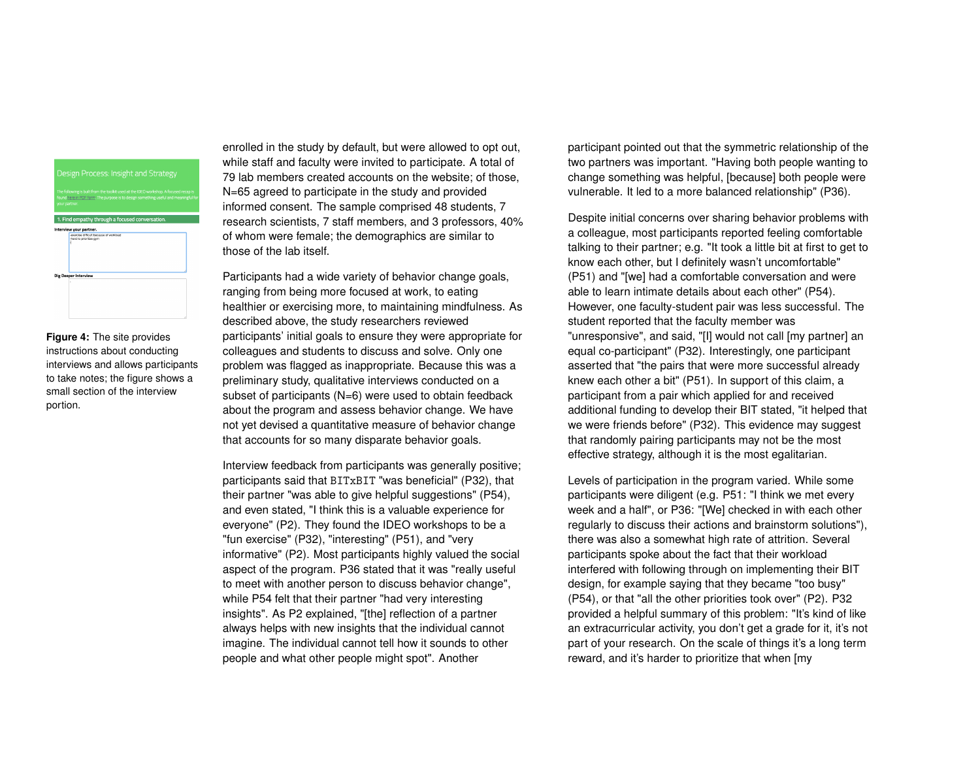

<span id="page-4-0"></span>**Figure 4:** The site provides instructions about conducting interviews and allows participants to take notes; the figure shows a small section of the interview portion.

enrolled in the study by default, but were allowed to opt out, while staff and faculty were invited to participate. A total of 79 lab members created accounts on the website; of those, N=65 agreed to participate in the study and provided informed consent. The sample comprised 48 students, 7 research scientists, 7 staff members, and 3 professors, 40% of whom were female; the demographics are similar to those of the lab itself.

Participants had a wide variety of behavior change goals, ranging from being more focused at work, to eating healthier or exercising more, to maintaining mindfulness. As described above, the study researchers reviewed participants' initial goals to ensure they were appropriate for colleagues and students to discuss and solve. Only one problem was flagged as inappropriate. Because this was a preliminary study, qualitative interviews conducted on a subset of participants (N=6) were used to obtain feedback about the program and assess behavior change. We have not yet devised a quantitative measure of behavior change that accounts for so many disparate behavior goals.

Interview feedback from participants was generally positive; participants said that BITxBIT "was beneficial" (P32), that their partner "was able to give helpful suggestions" (P54), and even stated, "I think this is a valuable experience for everyone" (P2). They found the IDEO workshops to be a "fun exercise" (P32), "interesting" (P51), and "very informative" (P2). Most participants highly valued the social aspect of the program. P36 stated that it was "really useful to meet with another person to discuss behavior change", while P54 felt that their partner "had very interesting insights". As P2 explained, "[the] reflection of a partner always helps with new insights that the individual cannot imagine. The individual cannot tell how it sounds to other people and what other people might spot". Another

participant pointed out that the symmetric relationship of the two partners was important. "Having both people wanting to change something was helpful, [because] both people were vulnerable. It led to a more balanced relationship" (P36).

Despite initial concerns over sharing behavior problems with a colleague, most participants reported feeling comfortable talking to their partner; e.g. "It took a little bit at first to get to know each other, but I definitely wasn't uncomfortable" (P51) and "[we] had a comfortable conversation and were able to learn intimate details about each other" (P54). However, one faculty-student pair was less successful. The student reported that the faculty member was "unresponsive", and said, "[I] would not call [my partner] an equal co-participant" (P32). Interestingly, one participant asserted that "the pairs that were more successful already knew each other a bit" (P51). In support of this claim, a participant from a pair which applied for and received additional funding to develop their BIT stated, "it helped that we were friends before" (P32). This evidence may suggest that randomly pairing participants may not be the most effective strategy, although it is the most egalitarian.

Levels of participation in the program varied. While some participants were diligent (e.g. P51: "I think we met every week and a half", or P36: "[We] checked in with each other regularly to discuss their actions and brainstorm solutions"), there was also a somewhat high rate of attrition. Several participants spoke about the fact that their workload interfered with following through on implementing their BIT design, for example saying that they became "too busy" (P54), or that "all the other priorities took over" (P2). P32 provided a helpful summary of this problem: "It's kind of like an extracurricular activity, you don't get a grade for it, it's not part of your research. On the scale of things it's a long term reward, and it's harder to prioritize that when [my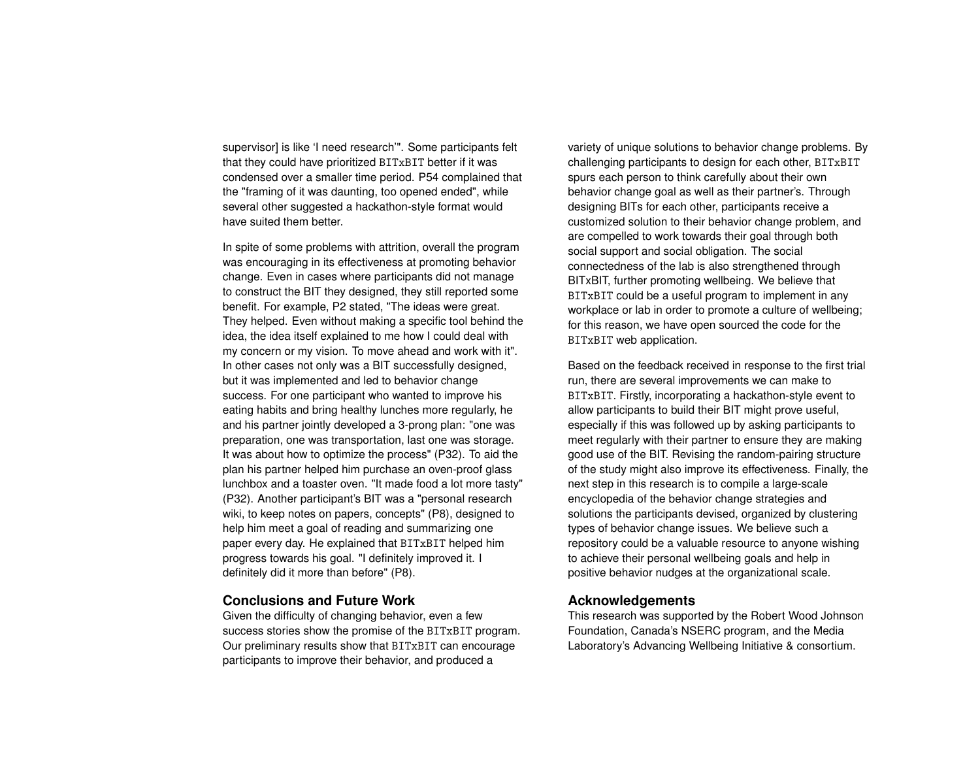supervisor] is like 'I need research'". Some participants felt that they could have prioritized BITxBIT better if it was condensed over a smaller time period. P54 complained that the "framing of it was daunting, too opened ended", while several other suggested a hackathon-style format would have suited them better.

In spite of some problems with attrition, overall the program was encouraging in its effectiveness at promoting behavior change. Even in cases where participants did not manage to construct the BIT they designed, they still reported some benefit. For example, P2 stated, "The ideas were great. They helped. Even without making a specific tool behind the idea, the idea itself explained to me how I could deal with my concern or my vision. To move ahead and work with it". In other cases not only was a BIT successfully designed, but it was implemented and led to behavior change success. For one participant who wanted to improve his eating habits and bring healthy lunches more regularly, he and his partner jointly developed a 3-prong plan: "one was preparation, one was transportation, last one was storage. It was about how to optimize the process" (P32). To aid the plan his partner helped him purchase an oven-proof glass lunchbox and a toaster oven. "It made food a lot more tasty" (P32). Another participant's BIT was a "personal research wiki, to keep notes on papers, concepts" (P8), designed to help him meet a goal of reading and summarizing one paper every day. He explained that BITxBIT helped him progress towards his goal. "I definitely improved it. I definitely did it more than before" (P8).

# **Conclusions and Future Work**

Given the difficulty of changing behavior, even a few success stories show the promise of the BITxBIT program. Our preliminary results show that BITxBIT can encourage participants to improve their behavior, and produced a

variety of unique solutions to behavior change problems. By challenging participants to design for each other, BITxBIT spurs each person to think carefully about their own behavior change goal as well as their partner's. Through designing BITs for each other, participants receive a customized solution to their behavior change problem, and are compelled to work towards their goal through both social support and social obligation. The social connectedness of the lab is also strengthened through BITxBIT, further promoting wellbeing. We believe that BITxBIT could be a useful program to implement in any workplace or lab in order to promote a culture of wellbeing; for this reason, we have open sourced the code for the BITxBIT web application.

Based on the feedback received in response to the first trial run, there are several improvements we can make to BITxBIT. Firstly, incorporating a hackathon-style event to allow participants to build their BIT might prove useful, especially if this was followed up by asking participants to meet regularly with their partner to ensure they are making good use of the BIT. Revising the random-pairing structure of the study might also improve its effectiveness. Finally, the next step in this research is to compile a large-scale encyclopedia of the behavior change strategies and solutions the participants devised, organized by clustering types of behavior change issues. We believe such a repository could be a valuable resource to anyone wishing to achieve their personal wellbeing goals and help in positive behavior nudges at the organizational scale.

# **Acknowledgements**

This research was supported by the Robert Wood Johnson Foundation, Canada's NSERC program, and the Media Laboratory's Advancing Wellbeing Initiative & consortium.